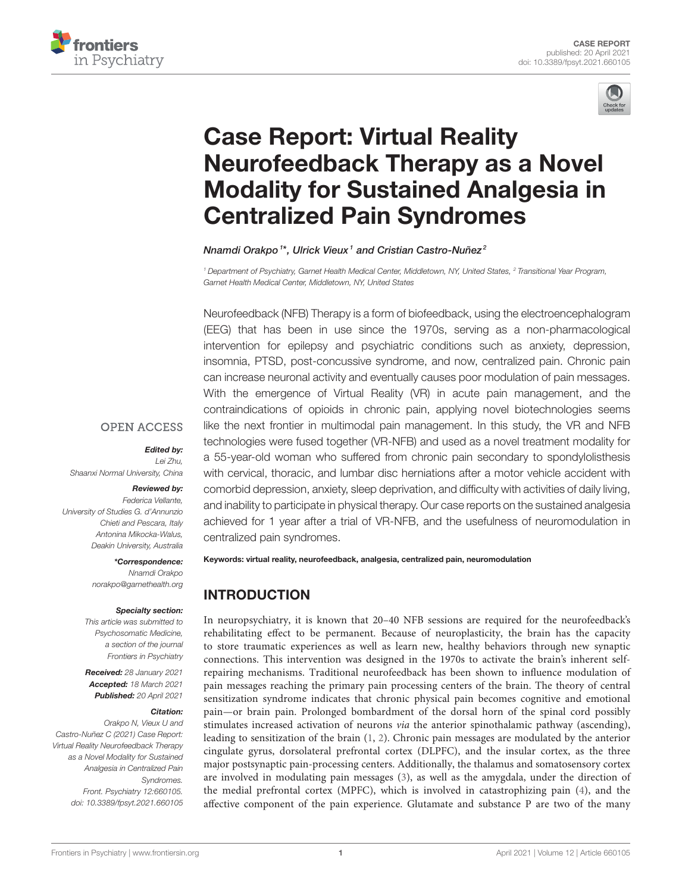



# Case Report: Virtual Reality Neurofeedback Therapy as a Novel [Modality for Sustained Analgesia in](https://www.frontiersin.org/articles/10.3389/fpsyt.2021.660105/full) Centralized Pain Syndromes

Nnamdi Orakpo<sup>1\*</sup>, Ulrick Vieux<sup>1</sup> and Cristian Castro-Nuñez<sup>2</sup>

<sup>1</sup> Department of Psychiatry, Garnet Health Medical Center, Middletown, NY, United States, <sup>2</sup> Transitional Year Program, Garnet Health Medical Center, Middletown, NY, United States

Neurofeedback (NFB) Therapy is a form of biofeedback, using the electroencephalogram (EEG) that has been in use since the 1970s, serving as a non-pharmacological intervention for epilepsy and psychiatric conditions such as anxiety, depression, insomnia, PTSD, post-concussive syndrome, and now, centralized pain. Chronic pain can increase neuronal activity and eventually causes poor modulation of pain messages. With the emergence of Virtual Reality (VR) in acute pain management, and the contraindications of opioids in chronic pain, applying novel biotechnologies seems like the next frontier in multimodal pain management. In this study, the VR and NFB technologies were fused together (VR-NFB) and used as a novel treatment modality for a 55-year-old woman who suffered from chronic pain secondary to spondylolisthesis with cervical, thoracic, and lumbar disc herniations after a motor vehicle accident with comorbid depression, anxiety, sleep deprivation, and difficulty with activities of daily living, and inability to participate in physical therapy. Our case reports on the sustained analgesia achieved for 1 year after a trial of VR-NFB, and the usefulness of neuromodulation in centralized pain syndromes.

#### **OPEN ACCESS**

#### Edited by:

Lei Zhu, Shaanxi Normal University, China

#### Reviewed by:

Federica Vellante, University of Studies G. d'Annunzio Chieti and Pescara, Italy Antonina Mikocka-Walus, Deakin University, Australia

> \*Correspondence: Nnamdi Orakpo [norakpo@garnethealth.org](mailto:norakpo@garnethealth.org)

#### Specialty section:

This article was submitted to Psychosomatic Medicine, a section of the journal Frontiers in Psychiatry

Received: 28 January 2021 Accepted: 18 March 2021 Published: 20 April 2021

#### Citation:

Orakpo N, Vieux U and Castro-Nuñez C (2021) Case Report: Virtual Reality Neurofeedback Therapy as a Novel Modality for Sustained Analgesia in Centralized Pain Syndromes. Front. Psychiatry 12:660105. doi: [10.3389/fpsyt.2021.660105](https://doi.org/10.3389/fpsyt.2021.660105) Keywords: virtual reality, neurofeedback, analgesia, centralized pain, neuromodulation

# INTRODUCTION

In neuropsychiatry, it is known that 20–40 NFB sessions are required for the neurofeedback's rehabilitating effect to be permanent. Because of neuroplasticity, the brain has the capacity to store traumatic experiences as well as learn new, healthy behaviors through new synaptic connections. This intervention was designed in the 1970s to activate the brain's inherent selfrepairing mechanisms. Traditional neurofeedback has been shown to influence modulation of pain messages reaching the primary pain processing centers of the brain. The theory of central sensitization syndrome indicates that chronic physical pain becomes cognitive and emotional pain—or brain pain. Prolonged bombardment of the dorsal horn of the spinal cord possibly stimulates increased activation of neurons via the anterior spinothalamic pathway (ascending), leading to sensitization of the brain [\(1,](#page-3-0) [2\)](#page-3-1). Chronic pain messages are modulated by the anterior cingulate gyrus, dorsolateral prefrontal cortex (DLPFC), and the insular cortex, as the three major postsynaptic pain-processing centers. Additionally, the thalamus and somatosensory cortex are involved in modulating pain messages [\(3\)](#page-3-2), as well as the amygdala, under the direction of the medial prefrontal cortex (MPFC), which is involved in catastrophizing pain [\(4\)](#page-3-3), and the affective component of the pain experience. Glutamate and substance P are two of the many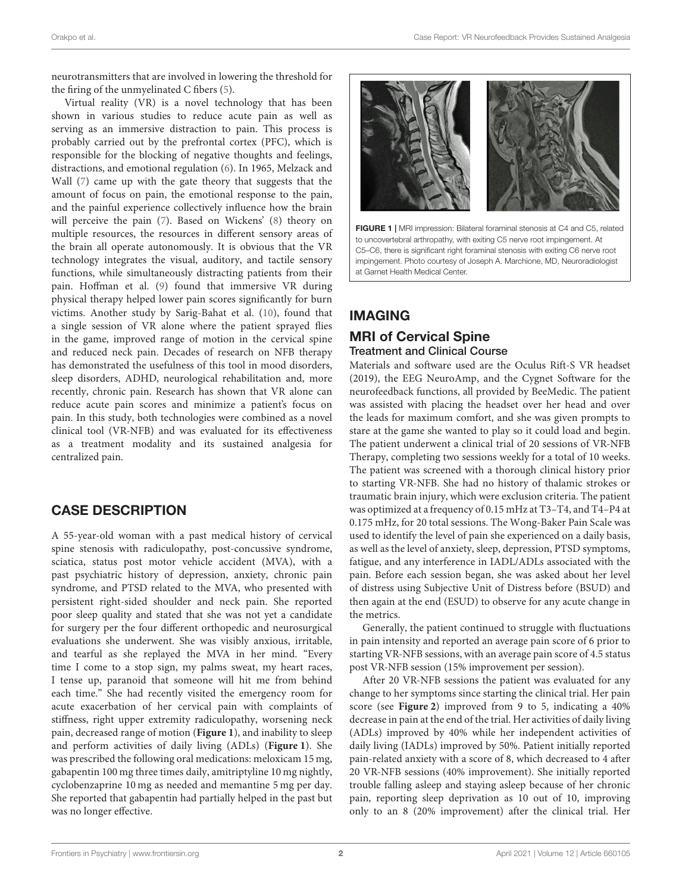neurotransmitters that are involved in lowering the threshold for the firing of the unmyelinated C fibers [\(5\)](#page-3-4).

Virtual reality (VR) is a novel technology that has been shown in various studies to reduce acute pain as well as serving as an immersive distraction to pain. This process is probably carried out by the prefrontal cortex (PFC), which is responsible for the blocking of negative thoughts and feelings, distractions, and emotional regulation [\(6\)](#page-4-0). In 1965, Melzack and Wall [\(7\)](#page-4-1) came up with the gate theory that suggests that the amount of focus on pain, the emotional response to the pain, and the painful experience collectively influence how the brain will perceive the pain [\(7\)](#page-4-1). Based on Wickens' [\(8\)](#page-4-2) theory on multiple resources, the resources in different sensory areas of the brain all operate autonomously. It is obvious that the VR technology integrates the visual, auditory, and tactile sensory functions, while simultaneously distracting patients from their pain. Hoffman et al. [\(9\)](#page-4-3) found that immersive VR during physical therapy helped lower pain scores significantly for burn victims. Another study by Sarig-Bahat et al. [\(10\)](#page-4-4), found that a single session of VR alone where the patient sprayed flies in the game, improved range of motion in the cervical spine and reduced neck pain. Decades of research on NFB therapy has demonstrated the usefulness of this tool in mood disorders, sleep disorders, ADHD, neurological rehabilitation and, more recently, chronic pain. Research has shown that VR alone can reduce acute pain scores and minimize a patient's focus on pain. In this study, both technologies were combined as a novel clinical tool (VR-NFB) and was evaluated for its effectiveness as a treatment modality and its sustained analgesia for centralized pain.

### CASE DESCRIPTION

A 55-year-old woman with a past medical history of cervical spine stenosis with radiculopathy, post-concussive syndrome, sciatica, status post motor vehicle accident (MVA), with a past psychiatric history of depression, anxiety, chronic pain syndrome, and PTSD related to the MVA, who presented with persistent right-sided shoulder and neck pain. She reported poor sleep quality and stated that she was not yet a candidate for surgery per the four different orthopedic and neurosurgical evaluations she underwent. She was visibly anxious, irritable, and tearful as she replayed the MVA in her mind. "Every time I come to a stop sign, my palms sweat, my heart races, I tense up, paranoid that someone will hit me from behind each time." She had recently visited the emergency room for acute exacerbation of her cervical pain with complaints of stiffness, right upper extremity radiculopathy, worsening neck pain, decreased range of motion (**[Figure 1](#page-1-0)**), and inability to sleep and perform activities of daily living (ADLs) (**[Figure 1](#page-1-0)**). She was prescribed the following oral medications: meloxicam 15 mg, gabapentin 100 mg three times daily, amitriptyline 10 mg nightly, cyclobenzaprine 10 mg as needed and memantine 5 mg per day. She reported that gabapentin had partially helped in the past but was no longer effective.



FIGURE 1 | MRI impression: Bilateral foraminal stenosis at C4 and C5, related to uncovertebral arthropathy, with exiting C5 nerve root impingement. At C5–C6, there is significant right foraminal stenosis with exiting C6 nerve root impingement. Photo courtesy of Joseph A. Marchione, MD, Neuroradiologist at Garnet Health Medical Center.

# <span id="page-1-0"></span>IMAGING

# MRI of Cervical Spine

#### Treatment and Clinical Course

Materials and software used are the Oculus Rift-S VR headset (2019), the EEG NeuroAmp, and the Cygnet Software for the neurofeedback functions, all provided by BeeMedic. The patient was assisted with placing the headset over her head and over the leads for maximum comfort, and she was given prompts to stare at the game she wanted to play so it could load and begin. The patient underwent a clinical trial of 20 sessions of VR-NFB Therapy, completing two sessions weekly for a total of 10 weeks. The patient was screened with a thorough clinical history prior to starting VR-NFB. She had no history of thalamic strokes or traumatic brain injury, which were exclusion criteria. The patient was optimized at a frequency of 0.15 mHz at T3–T4, and T4–P4 at 0.175 mHz, for 20 total sessions. The Wong-Baker Pain Scale was used to identify the level of pain she experienced on a daily basis, as well as the level of anxiety, sleep, depression, PTSD symptoms, fatigue, and any interference in IADL/ADLs associated with the pain. Before each session began, she was asked about her level of distress using Subjective Unit of Distress before (BSUD) and then again at the end (ESUD) to observe for any acute change in the metrics.

Generally, the patient continued to struggle with fluctuations in pain intensity and reported an average pain score of 6 prior to starting VR-NFB sessions, with an average pain score of 4.5 status post VR-NFB session (15% improvement per session).

After 20 VR-NFB sessions the patient was evaluated for any change to her symptoms since starting the clinical trial. Her pain score (see **[Figure 2](#page-2-0)**) improved from 9 to 5, indicating a 40% decrease in pain at the end of the trial. Her activities of daily living (ADLs) improved by 40% while her independent activities of daily living (IADLs) improved by 50%. Patient initially reported pain-related anxiety with a score of 8, which decreased to 4 after 20 VR-NFB sessions (40% improvement). She initially reported trouble falling asleep and staying asleep because of her chronic pain, reporting sleep deprivation as 10 out of 10, improving only to an 8 (20% improvement) after the clinical trial. Her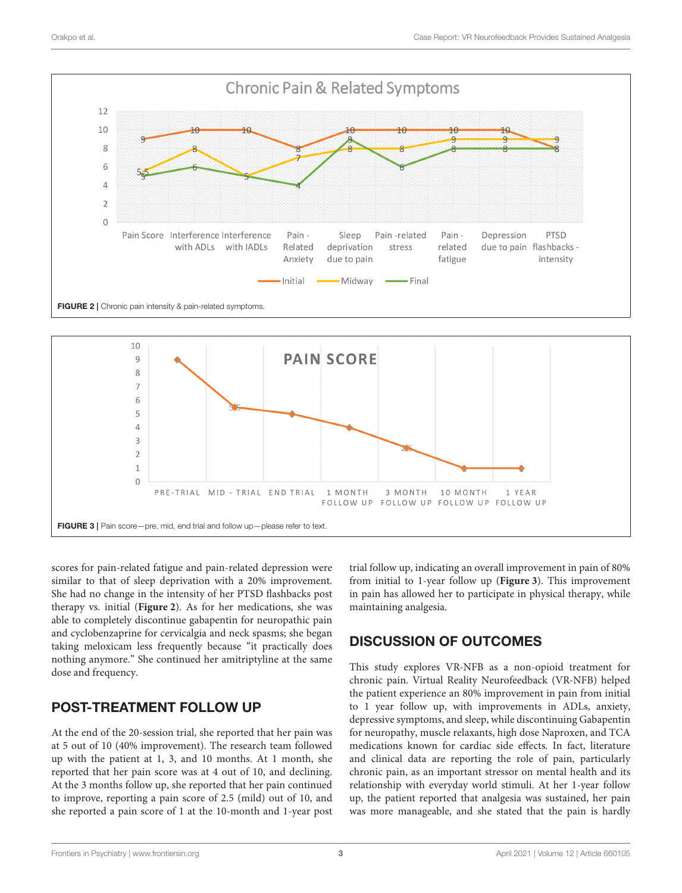

<span id="page-2-0"></span>

<span id="page-2-1"></span>scores for pain-related fatigue and pain-related depression were similar to that of sleep deprivation with a 20% improvement. She had no change in the intensity of her PTSD flashbacks post therapy vs. initial (**[Figure 2](#page-2-0)**). As for her medications, she was able to completely discontinue gabapentin for neuropathic pain and cyclobenzaprine for cervicalgia and neck spasms; she began taking meloxicam less frequently because "it practically does nothing anymore." She continued her amitriptyline at the same dose and frequency.

# POST-TREATMENT FOLLOW UP

At the end of the 20-session trial, she reported that her pain was at 5 out of 10 (40% improvement). The research team followed up with the patient at 1, 3, and 10 months. At 1 month, she reported that her pain score was at 4 out of 10, and declining. At the 3 months follow up, she reported that her pain continued to improve, reporting a pain score of 2.5 (mild) out of 10, and she reported a pain score of 1 at the 10-month and 1-year post trial follow up, indicating an overall improvement in pain of 80% from initial to 1-year follow up (**[Figure 3](#page-2-1)**). This improvement in pain has allowed her to participate in physical therapy, while maintaining analgesia.

# DISCUSSION OF OUTCOMES

This study explores VR-NFB as a non-opioid treatment for chronic pain. Virtual Reality Neurofeedback (VR-NFB) helped the patient experience an 80% improvement in pain from initial to 1 year follow up, with improvements in ADLs, anxiety, depressive symptoms, and sleep, while discontinuing Gabapentin for neuropathy, muscle relaxants, high dose Naproxen, and TCA medications known for cardiac side effects. In fact, literature and clinical data are reporting the role of pain, particularly chronic pain, as an important stressor on mental health and its relationship with everyday world stimuli. At her 1-year follow up, the patient reported that analgesia was sustained, her pain was more manageable, and she stated that the pain is hardly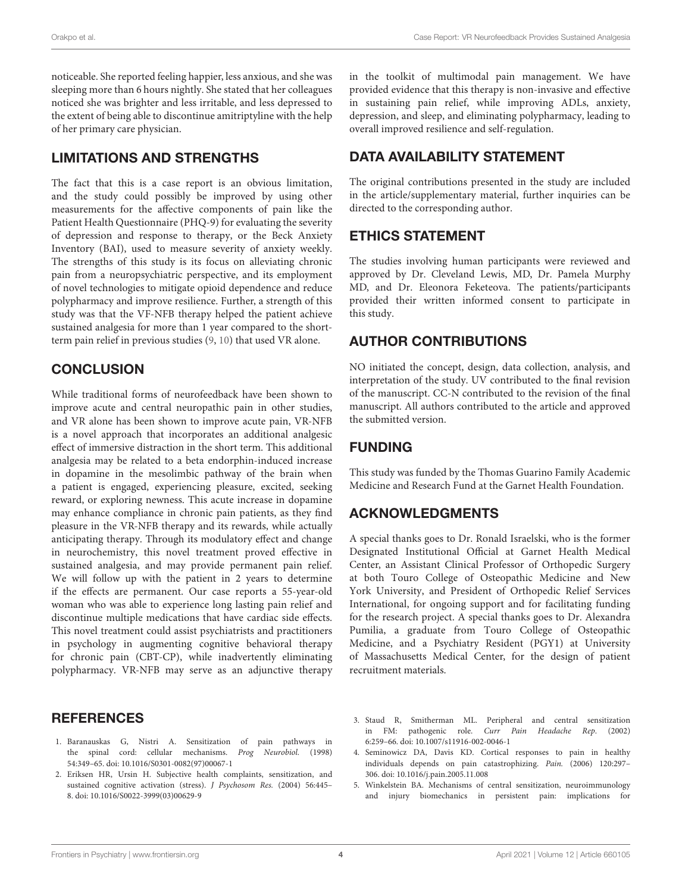noticeable. She reported feeling happier, less anxious, and she was sleeping more than 6 hours nightly. She stated that her colleagues noticed she was brighter and less irritable, and less depressed to the extent of being able to discontinue amitriptyline with the help of her primary care physician.

#### LIMITATIONS AND STRENGTHS

The fact that this is a case report is an obvious limitation, and the study could possibly be improved by using other measurements for the affective components of pain like the Patient Health Questionnaire (PHQ-9) for evaluating the severity of depression and response to therapy, or the Beck Anxiety Inventory (BAI), used to measure severity of anxiety weekly. The strengths of this study is its focus on alleviating chronic pain from a neuropsychiatric perspective, and its employment of novel technologies to mitigate opioid dependence and reduce polypharmacy and improve resilience. Further, a strength of this study was that the VF-NFB therapy helped the patient achieve sustained analgesia for more than 1 year compared to the shortterm pain relief in previous studies [\(9,](#page-4-3) [10\)](#page-4-4) that used VR alone.

### **CONCLUSION**

While traditional forms of neurofeedback have been shown to improve acute and central neuropathic pain in other studies, and VR alone has been shown to improve acute pain, VR-NFB is a novel approach that incorporates an additional analgesic effect of immersive distraction in the short term. This additional analgesia may be related to a beta endorphin-induced increase in dopamine in the mesolimbic pathway of the brain when a patient is engaged, experiencing pleasure, excited, seeking reward, or exploring newness. This acute increase in dopamine may enhance compliance in chronic pain patients, as they find pleasure in the VR-NFB therapy and its rewards, while actually anticipating therapy. Through its modulatory effect and change in neurochemistry, this novel treatment proved effective in sustained analgesia, and may provide permanent pain relief. We will follow up with the patient in 2 years to determine if the effects are permanent. Our case reports a 55-year-old woman who was able to experience long lasting pain relief and discontinue multiple medications that have cardiac side effects. This novel treatment could assist psychiatrists and practitioners in psychology in augmenting cognitive behavioral therapy for chronic pain (CBT-CP), while inadvertently eliminating polypharmacy. VR-NFB may serve as an adjunctive therapy

### **REFERENCES**

- <span id="page-3-0"></span>1. Baranauskas G, Nistri A. Sensitization of pain pathways in the spinal cord: cellular mechanisms. Prog Neurobiol. (1998) 54:349–65. doi: [10.1016/S0301-0082\(97\)00067-1](https://doi.org/10.1016/S0301-0082(97)00067-1)
- <span id="page-3-1"></span>2. Eriksen HR, Ursin H. Subjective health complaints, sensitization, and sustained cognitive activation (stress). J Psychosom Res. (2004) 56:445– 8. doi: [10.1016/S0022-3999\(03\)00629-9](https://doi.org/10.1016/S0022-3999(03)00629-9)

in the toolkit of multimodal pain management. We have provided evidence that this therapy is non-invasive and effective in sustaining pain relief, while improving ADLs, anxiety, depression, and sleep, and eliminating polypharmacy, leading to overall improved resilience and self-regulation.

# DATA AVAILABILITY STATEMENT

The original contributions presented in the study are included in the article/supplementary material, further inquiries can be directed to the corresponding author.

# ETHICS STATEMENT

The studies involving human participants were reviewed and approved by Dr. Cleveland Lewis, MD, Dr. Pamela Murphy MD, and Dr. Eleonora Feketeova. The patients/participants provided their written informed consent to participate in this study.

# AUTHOR CONTRIBUTIONS

NO initiated the concept, design, data collection, analysis, and interpretation of the study. UV contributed to the final revision of the manuscript. CC-N contributed to the revision of the final manuscript. All authors contributed to the article and approved the submitted version.

### FUNDING

This study was funded by the Thomas Guarino Family Academic Medicine and Research Fund at the Garnet Health Foundation.

### ACKNOWLEDGMENTS

A special thanks goes to Dr. Ronald Israelski, who is the former Designated Institutional Official at Garnet Health Medical Center, an Assistant Clinical Professor of Orthopedic Surgery at both Touro College of Osteopathic Medicine and New York University, and President of Orthopedic Relief Services International, for ongoing support and for facilitating funding for the research project. A special thanks goes to Dr. Alexandra Pumilia, a graduate from Touro College of Osteopathic Medicine, and a Psychiatry Resident (PGY1) at University of Massachusetts Medical Center, for the design of patient recruitment materials.

- <span id="page-3-2"></span>3. Staud R, Smitherman ML. Peripheral and central sensitization in FM: pathogenic role. Curr Pain Headache Rep. (2002) 6:259–66. doi: [10.1007/s11916-002-0046-1](https://doi.org/10.1007/s11916-002-0046-1)
- <span id="page-3-3"></span>4. Seminowicz DA, Davis KD. Cortical responses to pain in healthy individuals depends on pain catastrophizing. Pain. (2006) 120:297– 306. doi: [10.1016/j.pain.2005.11.008](https://doi.org/10.1016/j.pain.2005.11.008)
- <span id="page-3-4"></span>5. Winkelstein BA. Mechanisms of central sensitization, neuroimmunology and injury biomechanics in persistent pain: implications for